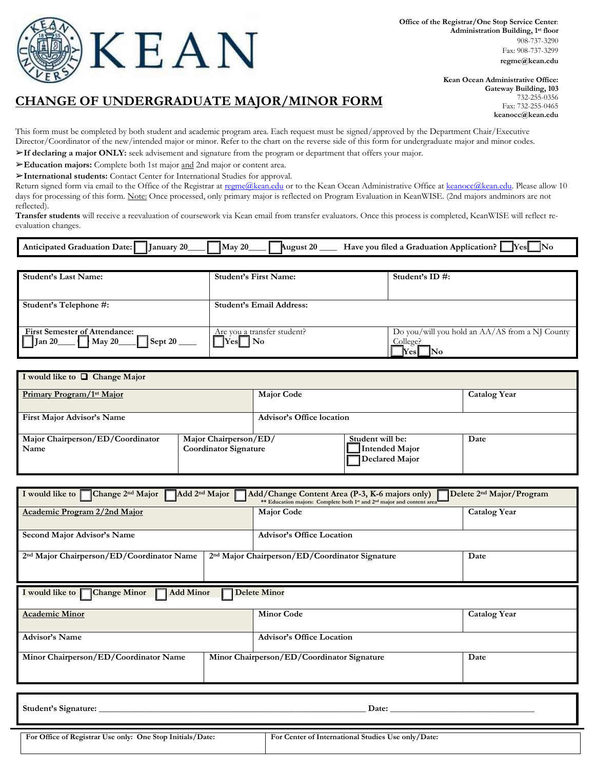

## **CHANGE OF UNDERGRADUATE MAJOR/MINOR FORM**

**Kean Ocean Administrative Office: Gateway Building, 103** 732-255-0356 Fax: 732-255-0465 **[keanocc@kean.edu](mailto:keanocc@kean.edu)**

This form must be completed by both student and academic program area. Each request must be signed/approved by the Department Chair/Executive Director/Coordinator of the new/intended major or minor. Refer to the chart on the reverse side of this form for undergraduate major and minor codes.

➢**If declaring a major ONLY:** seek advisement and signature from the program or department that offers your major.

➢**Education majors:** Complete both 1st major and 2nd major or content area.

➢**International students:** Contact Center for International Studies for approval.

Return signed form via email to the Office of the Registrar at [regme@kean.edu](mailto:regme@kean.edu?subject=Change%20of%20Undergraduate%20Major/Minor%20) or to the Kean Ocean Administrative Office a[t keanocc@kean.edu.](mailto:keanocc@kean.edu?subject=Change%20of%20Undergraduate%20Major/Minor) Please allow 10 days for processing of this form. Note: Once processed, only primary major is reflected on Program Evaluation in KeanWISE. (2nd majors andminors are not reflected).

**Transfer students** will receive a reevaluation of coursework via Kean email from transfer evaluators. Once this process is completed, KeanWISE will reflect reevaluation changes.

| $\sim$<br>January<br>Ant<br>20<br>raduation<br>Date:<br>…oated ∍ | 20<br>26.<br>May<br>August 2 | lNo<br>'Yesi<br>Application?<br>vou –<br>a filec'<br>Graduation<br><b>Have</b><br>$\alpha$ |
|------------------------------------------------------------------|------------------------------|--------------------------------------------------------------------------------------------|

| <b>Student's First Name:</b>                     | Student's ID #:                                                                             |
|--------------------------------------------------|---------------------------------------------------------------------------------------------|
|                                                  |                                                                                             |
| <b>Student's Email Address:</b>                  |                                                                                             |
|                                                  |                                                                                             |
| Are you a transfer student?<br>$\mathsf{Yes}$ No | Do you/will you hold an AA/AS from a NJ County<br>College?<br>$\bf$ Yes $\bf$<br><b>INo</b> |
|                                                  |                                                                                             |

| I would like to $\Box$ Change Major      |                                                       |                                  |                                                             |                     |
|------------------------------------------|-------------------------------------------------------|----------------------------------|-------------------------------------------------------------|---------------------|
| Primary Program/1 <sup>st</sup> Major    |                                                       | <b>Major Code</b>                |                                                             | <b>Catalog Year</b> |
| <b>First Major Advisor's Name</b>        |                                                       | <b>Advisor's Office location</b> |                                                             |                     |
| Major Chairperson/ED/Coordinator<br>Name | Major Chairperson/ED/<br><b>Coordinator Signature</b> |                                  | Student will be:<br>Intended Major<br><b>Declared Major</b> | Date                |

| I would like to Change 2 <sup>nd</sup> Major<br>Add 2 <sup>nd</sup> Major<br>Delete 2 <sup>nd</sup> Major/Program<br>Add/Change Content Area (P-3, K-6 majors only)<br>** Education majors: Complete both 1 <sup>st</sup> and 2 <sup>nd</sup> major and content area |                                                            |                     |  |  |
|----------------------------------------------------------------------------------------------------------------------------------------------------------------------------------------------------------------------------------------------------------------------|------------------------------------------------------------|---------------------|--|--|
| Academic Program 2/2nd Major                                                                                                                                                                                                                                         | <b>Major Code</b>                                          | <b>Catalog Year</b> |  |  |
| Second Major Advisor's Name                                                                                                                                                                                                                                          | <b>Advisor's Office Location</b>                           |                     |  |  |
| 2 <sup>nd</sup> Major Chairperson/ED/Coordinator Name                                                                                                                                                                                                                | 2 <sup>nd</sup> Major Chairperson/ED/Coordinator Signature | Date                |  |  |
| I would like to <b>Change Minor</b><br><b>Add Minor</b><br><b>Delete Minor</b>                                                                                                                                                                                       |                                                            |                     |  |  |
|                                                                                                                                                                                                                                                                      |                                                            |                     |  |  |
| <b>Academic Minor</b>                                                                                                                                                                                                                                                | <b>Minor Code</b>                                          | <b>Catalog Year</b> |  |  |
| <b>Advisor's Name</b>                                                                                                                                                                                                                                                | <b>Advisor's Office Location</b>                           |                     |  |  |

Student's Signature: **Example 20** and 20 and 20 and 20 and 20 and 20 and 20 and 20 and 20 and 20 and 20 and 20 and 20 and 20 and 20 and 20 and 20 and 20 and 20 and 20 and 20 and 20 and 20 and 20 and 20 and 20 and 20 and 20